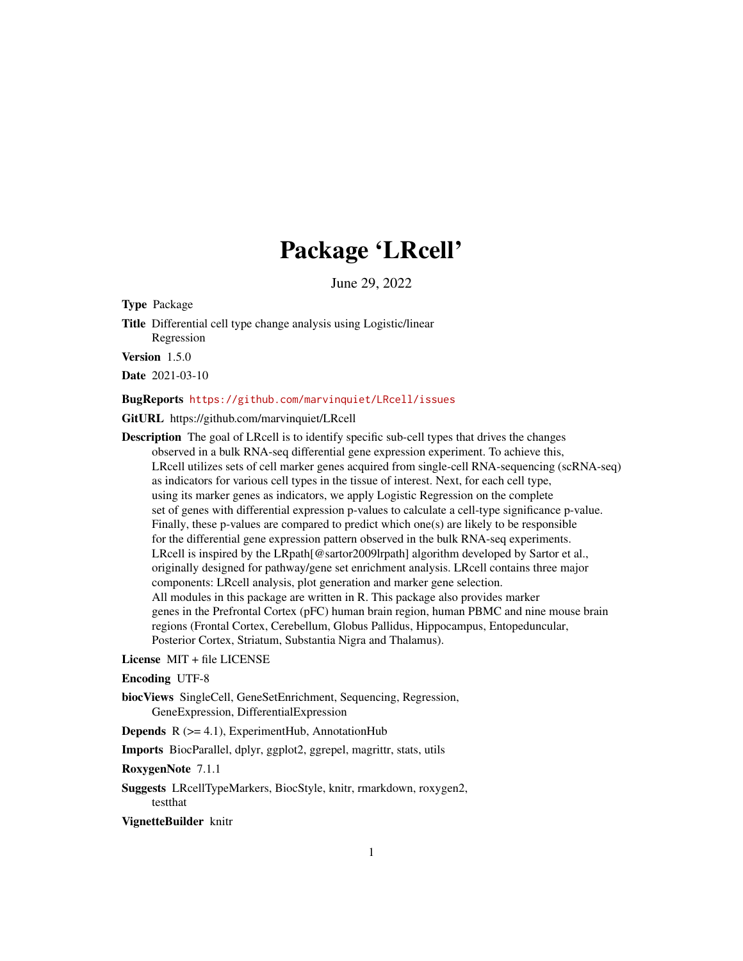# Package 'LRcell'

June 29, 2022

Type Package

Title Differential cell type change analysis using Logistic/linear Regression

Version 1.5.0

Date 2021-03-10

#### BugReports <https://github.com/marvinquiet/LRcell/issues>

GitURL https://github.com/marvinquiet/LRcell

Description The goal of LRcell is to identify specific sub-cell types that drives the changes observed in a bulk RNA-seq differential gene expression experiment. To achieve this, LRcell utilizes sets of cell marker genes acquired from single-cell RNA-sequencing (scRNA-seq) as indicators for various cell types in the tissue of interest. Next, for each cell type, using its marker genes as indicators, we apply Logistic Regression on the complete set of genes with differential expression p-values to calculate a cell-type significance p-value. Finally, these p-values are compared to predict which one(s) are likely to be responsible for the differential gene expression pattern observed in the bulk RNA-seq experiments. LRcell is inspired by the LRpath[@sartor2009lrpath] algorithm developed by Sartor et al., originally designed for pathway/gene set enrichment analysis. LRcell contains three major components: LRcell analysis, plot generation and marker gene selection. All modules in this package are written in R. This package also provides marker genes in the Prefrontal Cortex (pFC) human brain region, human PBMC and nine mouse brain regions (Frontal Cortex, Cerebellum, Globus Pallidus, Hippocampus, Entopeduncular, Posterior Cortex, Striatum, Substantia Nigra and Thalamus).

#### License MIT + file LICENSE

#### Encoding UTF-8

biocViews SingleCell, GeneSetEnrichment, Sequencing, Regression, GeneExpression, DifferentialExpression

**Depends**  $R$  ( $>= 4.1$ ), ExperimentHub, AnnotationHub

Imports BiocParallel, dplyr, ggplot2, ggrepel, magrittr, stats, utils

RoxygenNote 7.1.1

Suggests LRcellTypeMarkers, BiocStyle, knitr, rmarkdown, roxygen2, testthat

#### VignetteBuilder knitr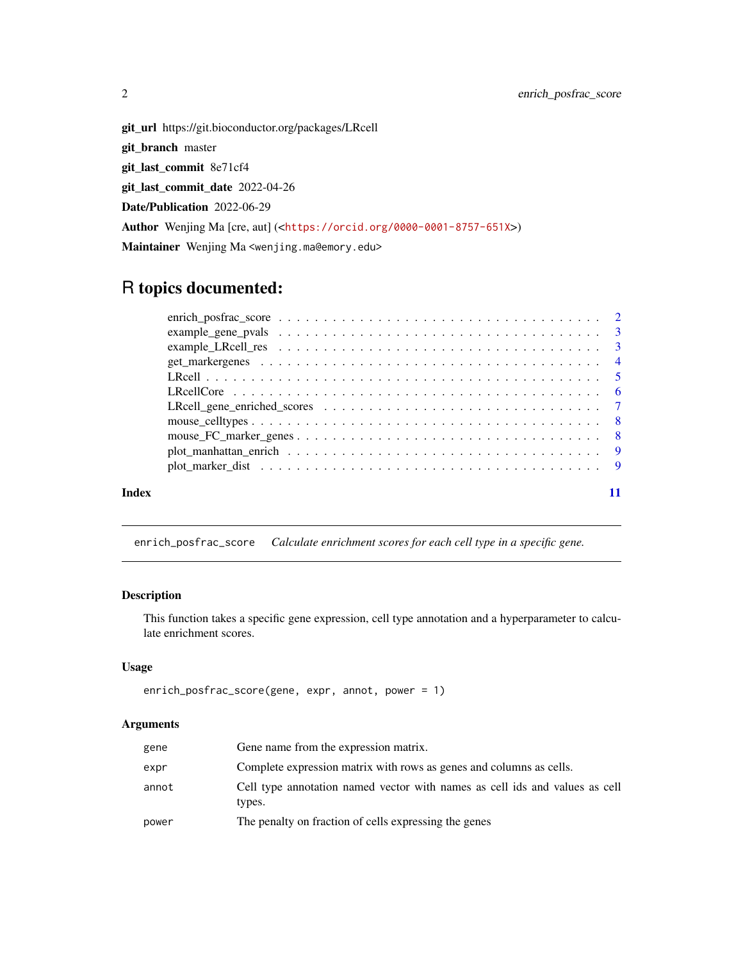<span id="page-1-0"></span>git\_url https://git.bioconductor.org/packages/LRcell git\_branch master git\_last\_commit 8e71cf4 git\_last\_commit\_date 2022-04-26 Date/Publication 2022-06-29 Author Wenjing Ma [cre, aut] (<<https://orcid.org/0000-0001-8757-651X>>) Maintainer Wenjing Ma <wenjing.ma@emory.edu>

## R topics documented:

| Index |  |
|-------|--|
|       |  |

## enrich\_posfrac\_score *Calculate enrichment scores for each cell type in a specific gene.*

## Description

This function takes a specific gene expression, cell type annotation and a hyperparameter to calculate enrichment scores.

## Usage

```
enrich_posfrac_score(gene, expr, annot, power = 1)
```
## Arguments

| gene  | Gene name from the expression matrix.                                                 |
|-------|---------------------------------------------------------------------------------------|
| expr  | Complete expression matrix with rows as genes and columns as cells.                   |
| annot | Cell type annotation named vector with names as cell ids and values as cell<br>types. |
| power | The penalty on fraction of cells expressing the genes                                 |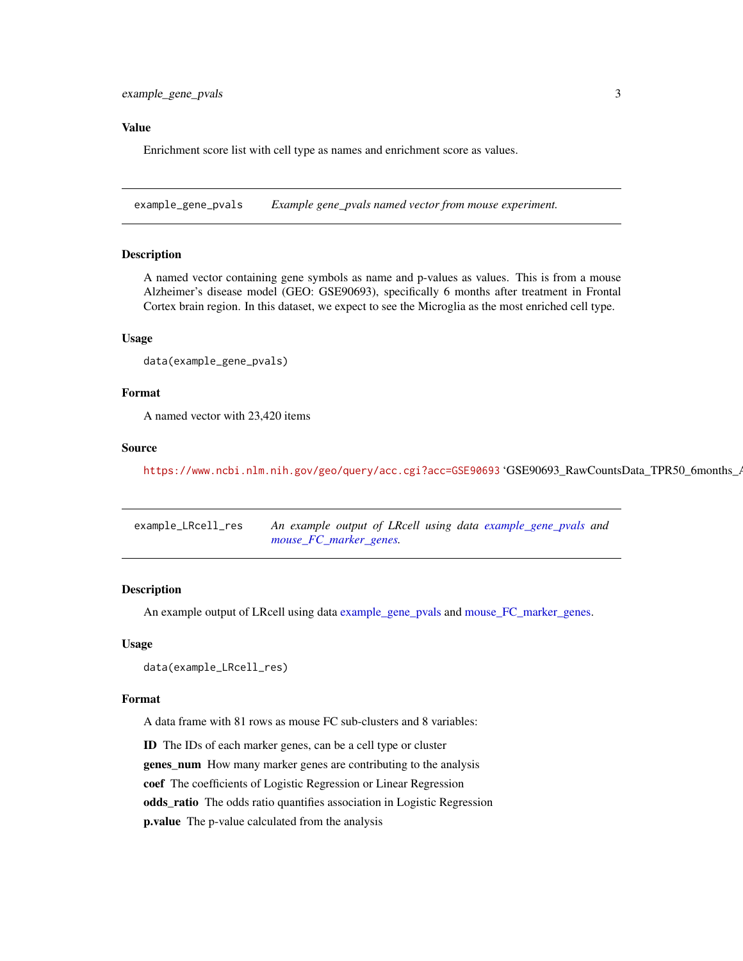#### <span id="page-2-0"></span>Value

Enrichment score list with cell type as names and enrichment score as values.

<span id="page-2-1"></span>example\_gene\_pvals *Example gene\_pvals named vector from mouse experiment.*

#### Description

A named vector containing gene symbols as name and p-values as values. This is from a mouse Alzheimer's disease model (GEO: GSE90693), specifically 6 months after treatment in Frontal Cortex brain region. In this dataset, we expect to see the Microglia as the most enriched cell type.

#### Usage

```
data(example_gene_pvals)
```
## Format

A named vector with 23,420 items

#### Source

<https://www.ncbi.nlm.nih.gov/geo/query/acc.cgi?acc=GSE90693> 'GSE90693\_RawCountsData\_TPR50\_6months\_A

| example_LRcell_res | An example output of LRcell using data example_gene_pvals and |
|--------------------|---------------------------------------------------------------|
|                    | mouse FC marker genes.                                        |

### Description

An example output of LRcell using data [example\\_gene\\_pvals](#page-2-1) and [mouse\\_FC\\_marker\\_genes.](#page-7-1)

#### Usage

```
data(example_LRcell_res)
```
#### Format

A data frame with 81 rows as mouse FC sub-clusters and 8 variables:

ID The IDs of each marker genes, can be a cell type or cluster genes\_num How many marker genes are contributing to the analysis coef The coefficients of Logistic Regression or Linear Regression odds\_ratio The odds ratio quantifies association in Logistic Regression p.value The p-value calculated from the analysis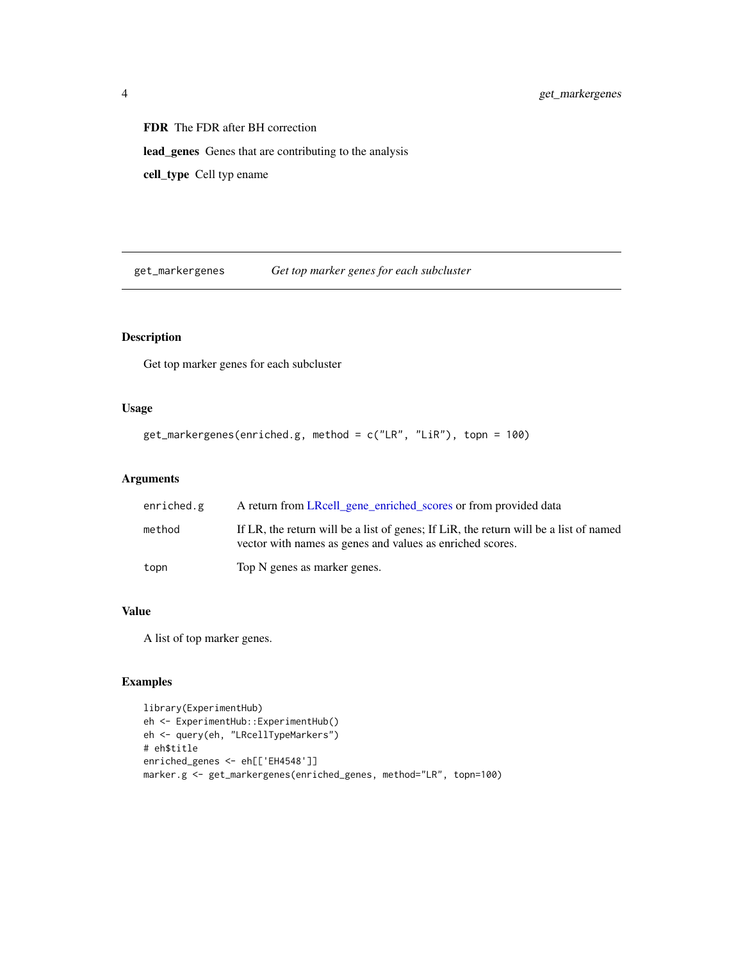FDR The FDR after BH correction lead\_genes Genes that are contributing to the analysis cell\_type Cell typ ename

get\_markergenes *Get top marker genes for each subcluster*

## Description

Get top marker genes for each subcluster

## Usage

```
get_markergenes(enriched.g, method = c("LR", "LiR"), topn = 100)
```
## Arguments

| enriched.g | A return from LRcell_gene_enriched_scores or from provided data                                                                                    |
|------------|----------------------------------------------------------------------------------------------------------------------------------------------------|
| method     | If LR, the return will be a list of genes; If LiR, the return will be a list of named<br>vector with names as genes and values as enriched scores. |
| topn       | Top N genes as marker genes.                                                                                                                       |

#### Value

A list of top marker genes.

#### Examples

```
library(ExperimentHub)
eh <- ExperimentHub::ExperimentHub()
eh <- query(eh, "LRcellTypeMarkers")
# eh$title
enriched_genes <- eh[['EH4548']]
marker.g <- get_markergenes(enriched_genes, method="LR", topn=100)
```
<span id="page-3-0"></span>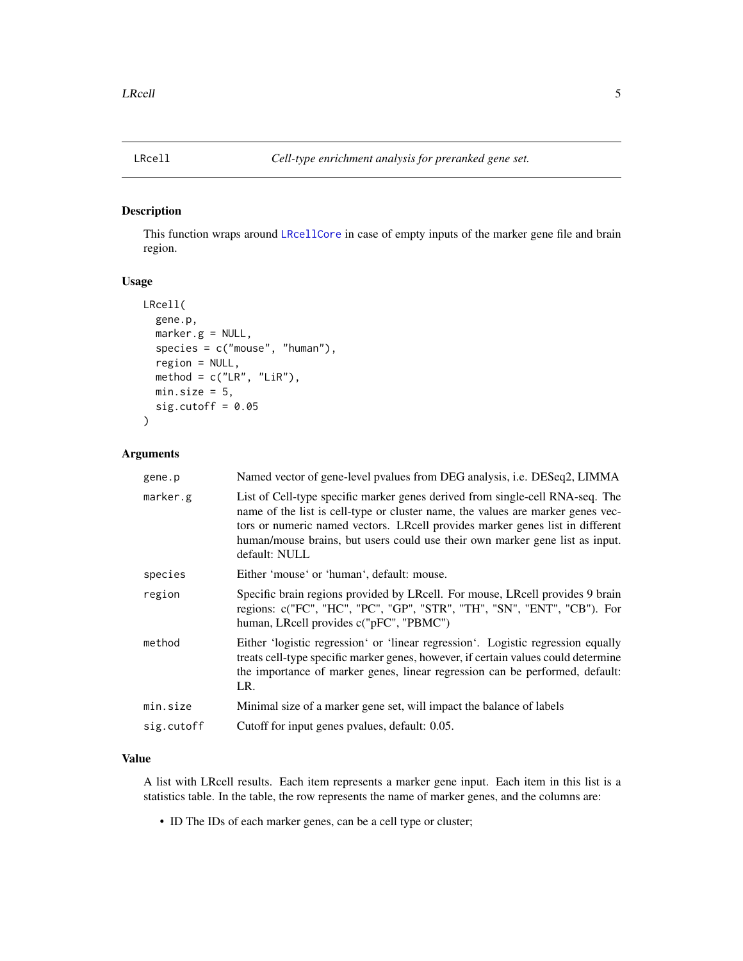<span id="page-4-1"></span><span id="page-4-0"></span>

#### Description

This function wraps around [LRcellCore](#page-5-1) in case of empty inputs of the marker gene file and brain region.

## Usage

```
LRcell(
  gene.p,
 marker.g = NULL,
 species = c("mouse", "human"),region = NULL,
 method = c("LR", "LiR"),
 min.size = 5,
  sig.cutoff = 0.05)
```
## Arguments

| gene.p     | Named vector of gene-level pvalues from DEG analysis, i.e. DESeq2, LIMMA                                                                                                                                                                                                                                                                           |
|------------|----------------------------------------------------------------------------------------------------------------------------------------------------------------------------------------------------------------------------------------------------------------------------------------------------------------------------------------------------|
| marker.g   | List of Cell-type specific marker genes derived from single-cell RNA-seq. The<br>name of the list is cell-type or cluster name, the values are marker genes vec-<br>tors or numeric named vectors. LRcell provides marker genes list in different<br>human/mouse brains, but users could use their own marker gene list as input.<br>default: NULL |
| species    | Either 'mouse' or 'human', default: mouse.                                                                                                                                                                                                                                                                                                         |
| region     | Specific brain regions provided by LRcell. For mouse, LRcell provides 9 brain<br>regions: c("FC", "HC", "PC", "GP", "STR", "TH", "SN", "ENT", "CB"). For<br>human, LRcell provides c("pFC", "PBMC")                                                                                                                                                |
| method     | Either 'logistic regression' or 'linear regression'. Logistic regression equally<br>treats cell-type specific marker genes, however, if certain values could determine<br>the importance of marker genes, linear regression can be performed, default:<br>LR.                                                                                      |
| min.size   | Minimal size of a marker gene set, will impact the balance of labels                                                                                                                                                                                                                                                                               |
| sig.cutoff | Cutoff for input genes pvalues, default: 0.05.                                                                                                                                                                                                                                                                                                     |
|            |                                                                                                                                                                                                                                                                                                                                                    |

#### Value

A list with LRcell results. Each item represents a marker gene input. Each item in this list is a statistics table. In the table, the row represents the name of marker genes, and the columns are:

• ID The IDs of each marker genes, can be a cell type or cluster;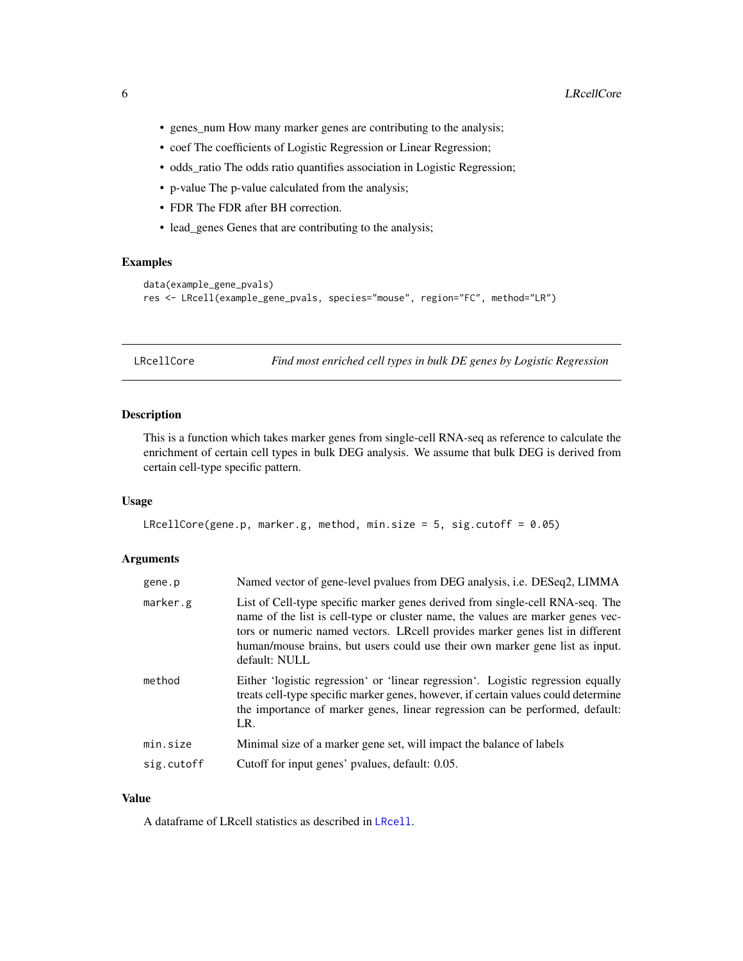- <span id="page-5-0"></span>• genes\_num How many marker genes are contributing to the analysis;
- coef The coefficients of Logistic Regression or Linear Regression;
- odds\_ratio The odds ratio quantifies association in Logistic Regression;
- p-value The p-value calculated from the analysis;
- FDR The FDR after BH correction.
- lead\_genes Genes that are contributing to the analysis;

## Examples

```
data(example_gene_pvals)
res <- LRcell(example_gene_pvals, species="mouse", region="FC", method="LR")
```
<span id="page-5-1"></span>LRcellCore *Find most enriched cell types in bulk DE genes by Logistic Regression*

## Description

This is a function which takes marker genes from single-cell RNA-seq as reference to calculate the enrichment of certain cell types in bulk DEG analysis. We assume that bulk DEG is derived from certain cell-type specific pattern.

### Usage

```
LRcellCore(gene.p, marker.g, method, min.size = 5, sig.cutoff = 0.05)
```
#### Arguments

| gene.p     | Named vector of gene-level pvalues from DEG analysis, i.e. DESeq2, LIMMA                                                                                                                                                                                                                                                                           |
|------------|----------------------------------------------------------------------------------------------------------------------------------------------------------------------------------------------------------------------------------------------------------------------------------------------------------------------------------------------------|
| marker.g   | List of Cell-type specific marker genes derived from single-cell RNA-seq. The<br>name of the list is cell-type or cluster name, the values are marker genes vec-<br>tors or numeric named vectors. LRcell provides marker genes list in different<br>human/mouse brains, but users could use their own marker gene list as input.<br>default: NULL |
| method     | Either 'logistic regression' or 'linear regression'. Logistic regression equally<br>treats cell-type specific marker genes, however, if certain values could determine<br>the importance of marker genes, linear regression can be performed, default:<br>LR.                                                                                      |
| min.size   | Minimal size of a marker gene set, will impact the balance of labels                                                                                                                                                                                                                                                                               |
| sig.cutoff | Cutoff for input genes' pvalues, default: 0.05.                                                                                                                                                                                                                                                                                                    |

#### Value

A dataframe of LRcell statistics as described in [LRcell](#page-4-1).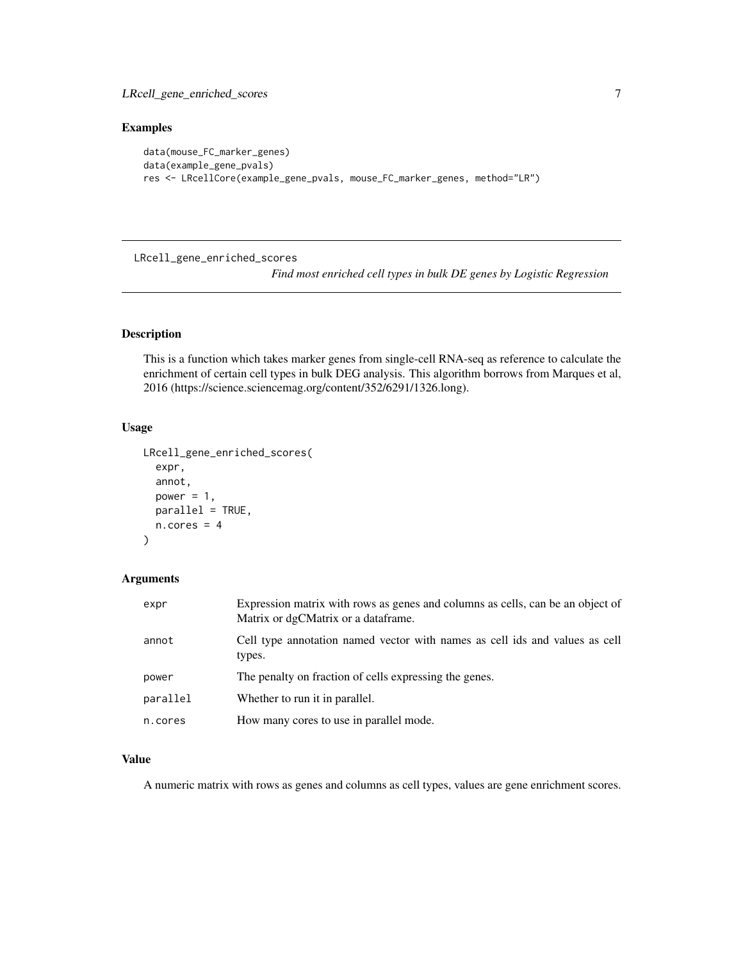## <span id="page-6-0"></span>Examples

```
data(mouse_FC_marker_genes)
data(example_gene_pvals)
res <- LRcellCore(example_gene_pvals, mouse_FC_marker_genes, method="LR")
```
<span id="page-6-1"></span>LRcell\_gene\_enriched\_scores

*Find most enriched cell types in bulk DE genes by Logistic Regression*

## Description

This is a function which takes marker genes from single-cell RNA-seq as reference to calculate the enrichment of certain cell types in bulk DEG analysis. This algorithm borrows from Marques et al, 2016 (https://science.sciencemag.org/content/352/6291/1326.long).

## Usage

```
LRcell_gene_enriched_scores(
  expr,
  annot,
 power = 1,
 parallel = TRUE,
  n.cores = 4)
```
#### Arguments

| expr     | Expression matrix with rows as genes and columns as cells, can be an object of<br>Matrix or dgCMatrix or a dataframe. |
|----------|-----------------------------------------------------------------------------------------------------------------------|
| annot    | Cell type annotation named vector with names as cell ids and values as cell<br>types.                                 |
| power    | The penalty on fraction of cells expressing the genes.                                                                |
| parallel | Whether to run it in parallel.                                                                                        |
| n.cores  | How many cores to use in parallel mode.                                                                               |

## Value

A numeric matrix with rows as genes and columns as cell types, values are gene enrichment scores.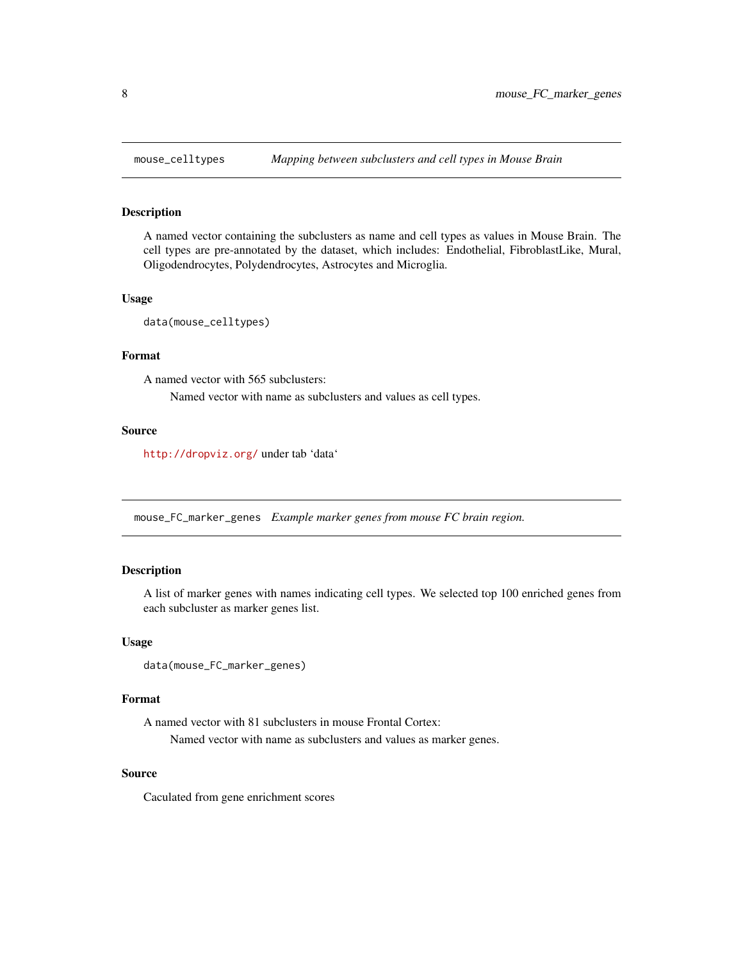<span id="page-7-0"></span>

## Description

A named vector containing the subclusters as name and cell types as values in Mouse Brain. The cell types are pre-annotated by the dataset, which includes: Endothelial, FibroblastLike, Mural, Oligodendrocytes, Polydendrocytes, Astrocytes and Microglia.

## Usage

data(mouse\_celltypes)

## Format

A named vector with 565 subclusters: Named vector with name as subclusters and values as cell types.

#### Source

<http://dropviz.org/> under tab 'data'

<span id="page-7-1"></span>mouse\_FC\_marker\_genes *Example marker genes from mouse FC brain region.*

## Description

A list of marker genes with names indicating cell types. We selected top 100 enriched genes from each subcluster as marker genes list.

#### Usage

```
data(mouse_FC_marker_genes)
```
#### Format

A named vector with 81 subclusters in mouse Frontal Cortex: Named vector with name as subclusters and values as marker genes.

#### Source

Caculated from gene enrichment scores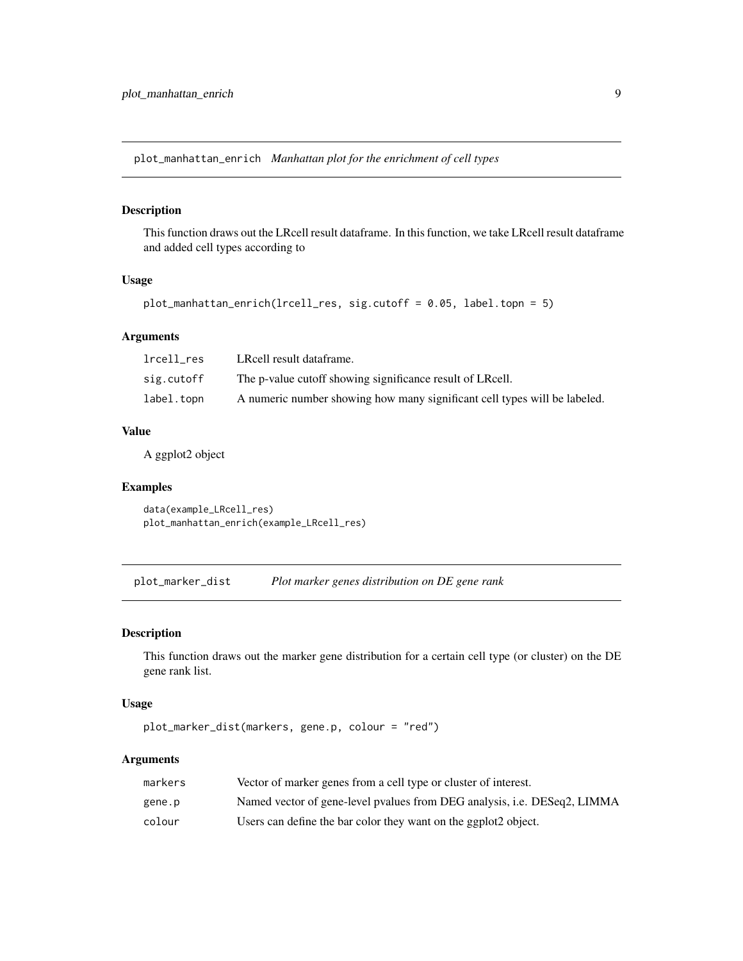<span id="page-8-0"></span>plot\_manhattan\_enrich *Manhattan plot for the enrichment of cell types*

#### Description

This function draws out the LRcell result dataframe. In this function, we take LRcell result dataframe and added cell types according to

## Usage

```
plot_manhattan_enrich(lrcell_res, sig.cutoff = 0.05, label.topn = 5)
```
#### Arguments

| lrcell res | LRcell result dataframe.                                                  |
|------------|---------------------------------------------------------------------------|
| sig.cutoff | The p-value cutoff showing significance result of LRcell.                 |
| label.topn | A numeric number showing how many significant cell types will be labeled. |

## Value

A ggplot2 object

## Examples

```
data(example_LRcell_res)
plot_manhattan_enrich(example_LRcell_res)
```
plot\_marker\_dist *Plot marker genes distribution on DE gene rank*

#### Description

This function draws out the marker gene distribution for a certain cell type (or cluster) on the DE gene rank list.

## Usage

```
plot_marker_dist(markers, gene.p, colour = "red")
```
## Arguments

| markers | Vector of marker genes from a cell type or cluster of interest.          |
|---------|--------------------------------------------------------------------------|
| gene.p  | Named vector of gene-level pyalues from DEG analysis, i.e. DESeq2, LIMMA |
| colour  | Users can define the bar color they want on the ggplot2 object.          |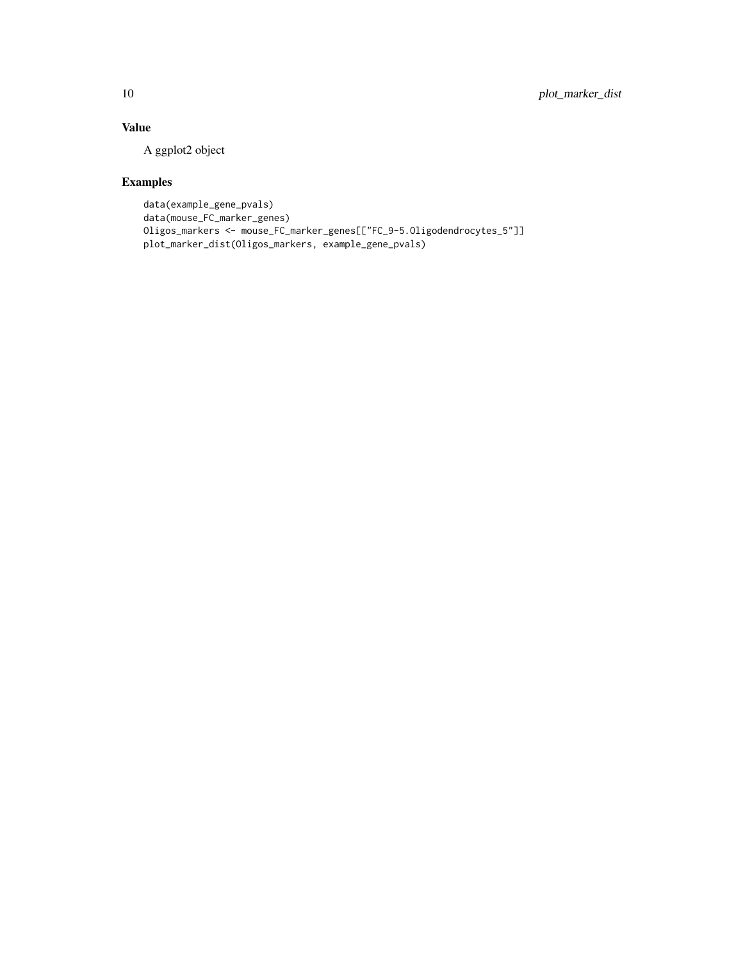## Value

A ggplot2 object

## Examples

```
data(example_gene_pvals)
data(mouse_FC_marker_genes)
Oligos_markers <- mouse_FC_marker_genes[["FC_9-5.Oligodendrocytes_5"]]
plot_marker_dist(Oligos_markers, example_gene_pvals)
```